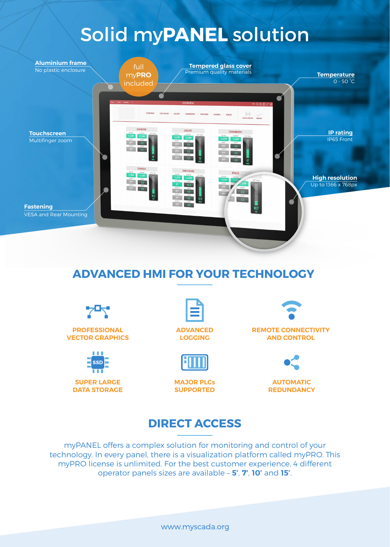# Solid my**PANEL** solution



# **ADVANCED HMI FOR YOUR TECHNOLOGY**

**PROFESSIONAL VECTOR GRAPHICS**



**SUPER LARGE DATA STORAGE**



**LOGGING**



**MAJOR PLCs SUPPORTED**



**REMOTE CONNECTIVITY AND CONTROL** 



**AUTOMATIC REDUNDANCY**

#### **DIRECT ACCESS**

myPANEL offers a complex solution for monitoring and control of your technology. In every panel, there is a visualization platform called myPRO. This myPRO license is unlimited. For the best customer experience, 4 different operator panels sizes are available – **5'**, **7'**, **10'** and **15'**.